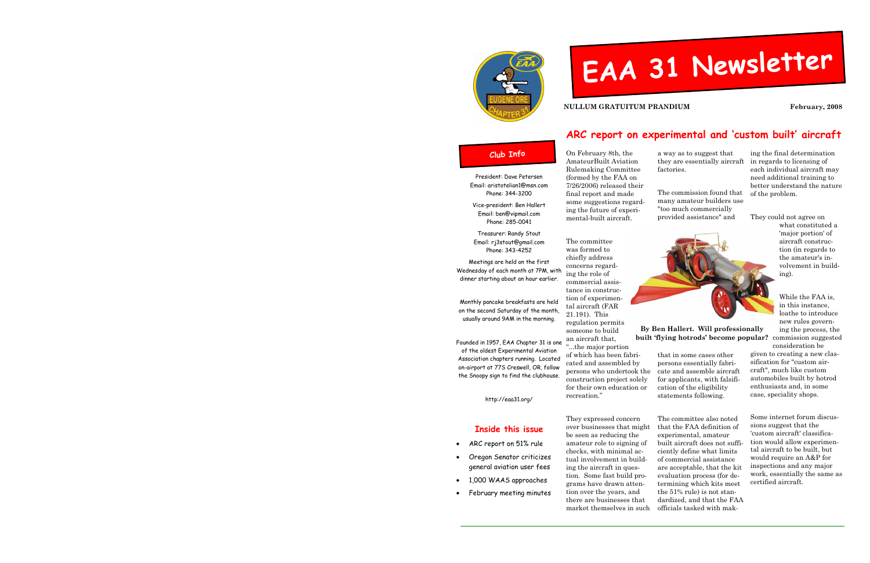



NULLUM GRATUITUM PRANDIUM FEBRUARY, 2008

The committee was formed to chiefly address concerns regarding the role of commercial assistance in construction of experimental aircraft (FAR 21.191). This

On February 8th, the AmateurBuilt Aviation Rulemaking Committee (formed by the FAA on 7/26/2006) released their final report and made some suggestions regarding the future of experimental-built aircraft. they are essentially aircraft factories. The commission found that many amateur builders use "too much commercially provided assistance" and

recreation." They expressed concern

 over businesses that might be seen as reducing the amateur role to signing of checks, with minimal actual involvement in building the aircraft in question. Some fast build programs have drawn attention over the years, and there are businesses that market themselves in such

### Club Info

 regulation permits someone to build an aircraft that, "...the major portion of which has been fabricated and assembled by persons who undertook the construction project solely for their own education or that in some cases other persons essentially fabricate and assemble aircraft for applicants, with falsification of the eligibility statements following.

a way as to suggest that

tion (in regards to the amateur's involvement in build-

ing).<br>While the FAA is,<br>in this instance,<br>loathe to introduce<br>new rules governing the process, the ally ing the process, the **ular?** commission suggested consideration be given to creating a new clas-

ing the final determination<br>in regards to licensing of<br>each individual aircraft may<br>need additional training to<br>better understand the nature<br>of the problem.<br>They could not agree on<br>what constituted a<br>"major portion" of<br>air

sification for "custom aircraft", much like custom automobiles built by hotrod<br>enthusiasts and, in some<br>case, speciality shops.<br>Some internet forum discus-

sions suggest that the 'custom aircraft' classifica tion would allow experimental aircraft to be built, but<br>would require an A&P for<br>inspections and any major<br>work, essentially the same as<br>certified aircraft.

### EAA 31 Newsl etter

The committee also noted

 that the FAA definition of experimental, amateur built aircraft does not sufficiently define what limits of commercial assistance are acceptable, that the kit evaluation process (for determining which kits meet the 51% rule) is not standardized, and that the FAA officials tasked with mak-



## ARC report on experimental and 'custom built' aircraft

By Ben Hallert. Will professionally built 'flying hotrods' become popular?

President: Dave Petersen Email: aristotelian1@msn.com Phone: 344-3200

Vice-president: Ben Hallert Email: ben@vipmail.com Phone: 285-0041

Treasurer: Randy Stout Email: rj3stout@gmail.com Phone: 343-4252

Meetings are held on the first Wednesday of each month at 7PM, with dinner starting about an hour earlier.

Monthly pancake breakfasts are held on the second Saturday of the month, usually around 9AM in the morning.

Founded in 1957, EAA Chapter 31 is one of the oldest Experimental Aviation Association chapters running. Located on-airport at 77S Creswell, OR, follow the Snoopy sign to find the clubhouse.

http://eaa31.org/

### Inside this issue

- ARC report on 51% rule
- Oregon Senator criticizes general aviation user fees
- 1,000 WAAS approaches
- February meeting minutes